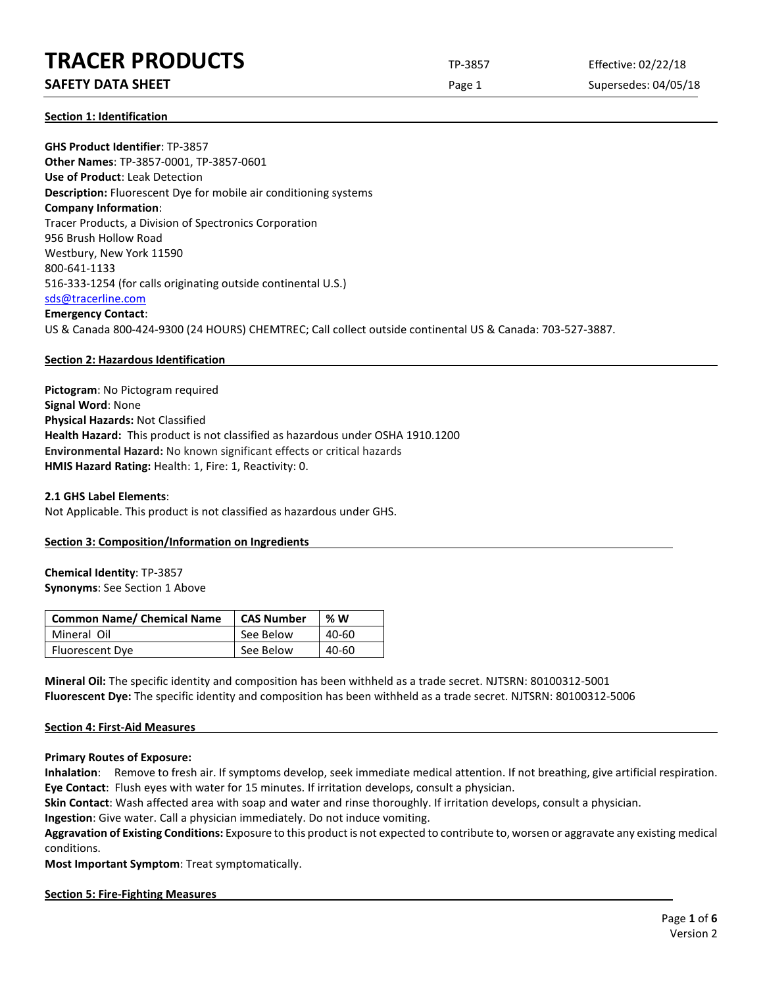### **SAFETY DATA SHEET** SUPERFOUR CONSUMING THE Page 1 Supersedes: 04/05/18

**Section 1: Identification**

**GHS Product Identifier**: TP-3857 **Other Names**: TP-3857-0001, TP-3857-0601 **Use of Product**: Leak Detection **Description:** Fluorescent Dye for mobile air conditioning systems **Company Information**: Tracer Products, a Division of Spectronics Corporation 956 Brush Hollow Road Westbury, New York 11590 800-641-1133 516-333-1254 (for calls originating outside continental U.S.) [sds@tracerline.com](mailto:sds@tracerline.com) **Emergency Contact**: US & Canada 800-424-9300 (24 HOURS) CHEMTREC; Call collect outside continental US & Canada: 703-527-3887.

#### **Section 2: Hazardous Identification**

**Pictogram**: No Pictogram required **Signal Word**: None **Physical Hazards:** Not Classified **Health Hazard:** This product is not classified as hazardous under OSHA 1910.1200 **Environmental Hazard:** No known significant effects or critical hazards **HMIS Hazard Rating:** Health: 1, Fire: 1, Reactivity: 0.

### **2.1 GHS Label Elements**: Not Applicable. This product is not classified as hazardous under GHS.

#### **Section 3: Composition/Information on Ingredients**

#### **Chemical Identity**: TP-3857 **Synonyms**: See Section 1 Above

| <b>Common Name/ Chemical Name</b> | <b>CAS Number</b> | %W    |
|-----------------------------------|-------------------|-------|
| Mineral Oil                       | See Below         | 40-60 |
| Fluorescent Dye                   | See Below         | 40-60 |

**Mineral Oil:** The specific identity and composition has been withheld as a trade secret. NJTSRN: 80100312-5001 **Fluorescent Dye:** The specific identity and composition has been withheld as a trade secret. NJTSRN: 80100312-5006

#### **Section 4: First-Aid Measures**

**Primary Routes of Exposure:**

**Inhalation**: Remove to fresh air. If symptoms develop, seek immediate medical attention. If not breathing, give artificial respiration. **Eye Contact**: Flush eyes with water for 15 minutes. If irritation develops, consult a physician.

**Skin Contact**: Wash affected area with soap and water and rinse thoroughly. If irritation develops, consult a physician.

**Ingestion**: Give water. Call a physician immediately. Do not induce vomiting.

**Aggravation of Existing Conditions:** Exposure to this product is not expected to contribute to, worsen or aggravate any existing medical conditions.

**Most Important Symptom**: Treat symptomatically.

#### **Section 5: Fire-Fighting Measures**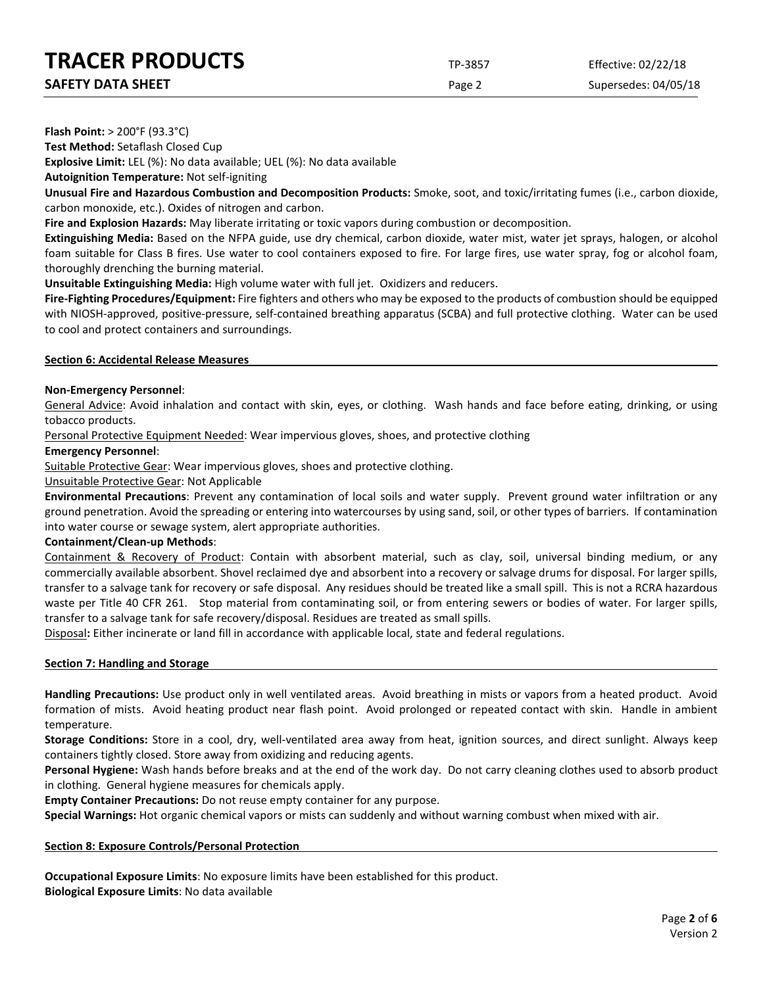| <b>SAFETY DATA SHEET</b> |  |
|--------------------------|--|

Page 2 Supersedes: 04/05/18

**Flash Point:** > 200°F (93.3°C)

**Test Method:** Setaflash Closed Cup

**Explosive Limit:** LEL (%): No data available; UEL (%): No data available

**Autoignition Temperature:** Not self-igniting

**Unusual Fire and Hazardous Combustion and Decomposition Products:** Smoke, soot, and toxic/irritating fumes (i.e., carbon dioxide, carbon monoxide, etc.). Oxides of nitrogen and carbon.

**Fire and Explosion Hazards:** May liberate irritating or toxic vapors during combustion or decomposition.

**Extinguishing Media:** Based on the NFPA guide, use dry chemical, carbon dioxide, water mist, water jet sprays, halogen, or alcohol foam suitable for Class B fires. Use water to cool containers exposed to fire. For large fires, use water spray, fog or alcohol foam, thoroughly drenching the burning material.

**Unsuitable Extinguishing Media:** High volume water with full jet. Oxidizers and reducers.

**Fire-Fighting Procedures/Equipment:** Fire fighters and others who may be exposed to the products of combustion should be equipped with NIOSH-approved, positive-pressure, self-contained breathing apparatus (SCBA) and full protective clothing. Water can be used to cool and protect containers and surroundings.

#### **Section 6: Accidental Release Measures**

#### **Non-Emergency Personnel**:

General Advice: Avoid inhalation and contact with skin, eyes, or clothing. Wash hands and face before eating, drinking, or using tobacco products.

Personal Protective Equipment Needed: Wear impervious gloves, shoes, and protective clothing

#### **Emergency Personnel**:

Suitable Protective Gear: Wear impervious gloves, shoes and protective clothing.

#### Unsuitable Protective Gear: Not Applicable

**Environmental Precautions**: Prevent any contamination of local soils and water supply. Prevent ground water infiltration or any ground penetration. Avoid the spreading or entering into watercourses by using sand, soil, or other types of barriers. If contamination into water course or sewage system, alert appropriate authorities.

#### **Containment/Clean-up Methods**:

Containment & Recovery of Product: Contain with absorbent material, such as clay, soil, universal binding medium, or any commercially available absorbent. Shovel reclaimed dye and absorbent into a recovery or salvage drums for disposal. For larger spills, transfer to a salvage tank for recovery or safe disposal. Any residues should be treated like a small spill. This is not a RCRA hazardous waste per Title 40 CFR 261. Stop material from contaminating soil, or from entering sewers or bodies of water. For larger spills, transfer to a salvage tank for safe recovery/disposal. Residues are treated as small spills.

Disposal**:** Either incinerate or land fill in accordance with applicable local, state and federal regulations.

#### **Section 7: Handling and Storage**

**Handling Precautions:** Use product only in well ventilated areas. Avoid breathing in mists or vapors from a heated product. Avoid formation of mists. Avoid heating product near flash point. Avoid prolonged or repeated contact with skin. Handle in ambient temperature.

**Storage Conditions:** Store in a cool, dry, well-ventilated area away from heat, ignition sources, and direct sunlight. Always keep containers tightly closed. Store away from oxidizing and reducing agents.

**Personal Hygiene:** Wash hands before breaks and at the end of the work day. Do not carry cleaning clothes used to absorb product in clothing. General hygiene measures for chemicals apply.

**Empty Container Precautions:** Do not reuse empty container for any purpose.

**Special Warnings:** Hot organic chemical vapors or mists can suddenly and without warning combust when mixed with air.

#### **Section 8: Exposure Controls/Personal Protection**

**Occupational Exposure Limits**: No exposure limits have been established for this product. **Biological Exposure Limits**: No data available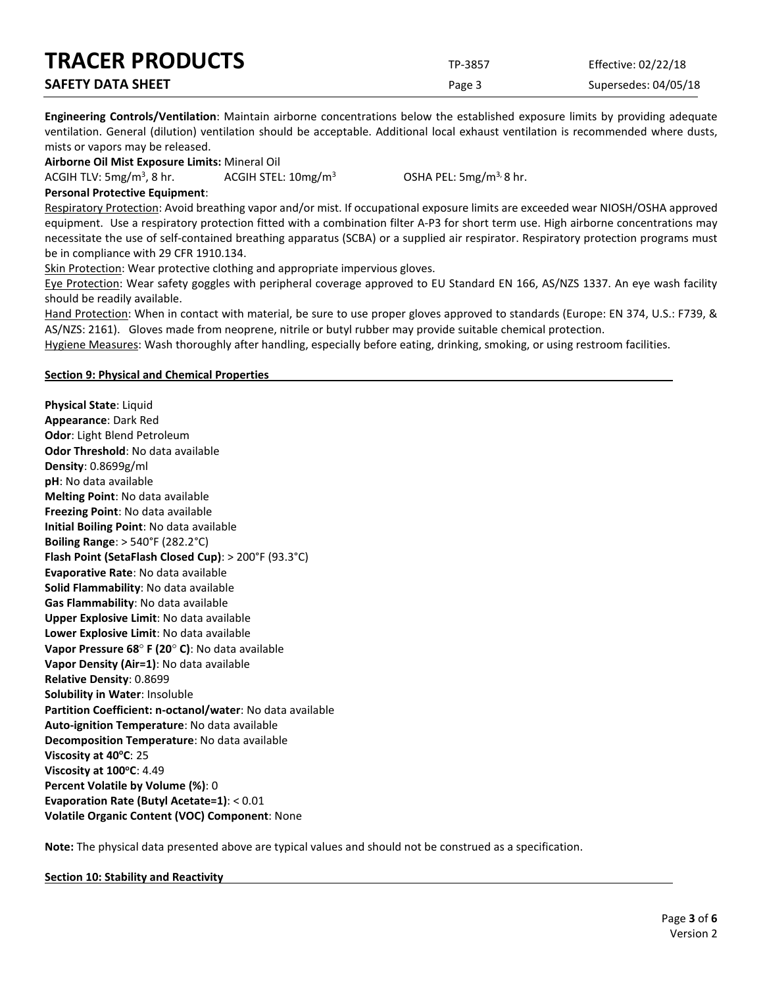| <b>TRACER PRODUCTS</b>   | TP-3857 | Effective: 02/22/18  |
|--------------------------|---------|----------------------|
| <b>SAFETY DATA SHEET</b> | Page 3  | Supersedes: 04/05/18 |

**Engineering Controls/Ventilation**: Maintain airborne concentrations below the established exposure limits by providing adequate ventilation. General (dilution) ventilation should be acceptable. Additional local exhaust ventilation is recommended where dusts, mists or vapors may be released.

**Airborne Oil Mist Exposure Limits:** Mineral Oil

ACGIH TLV:  $5mg/m<sup>3</sup>$ , 8 hr.

ACGIH STEL:  $10 \text{mg/m}^3$  OSHA PEL:  $5 \text{mg/m}^3$ , 8 hr.

**Personal Protective Equipment**:

Respiratory Protection: Avoid breathing vapor and/or mist. If occupational exposure limits are exceeded wear NIOSH/OSHA approved equipment. Use a respiratory protection fitted with a combination filter A-P3 for short term use. High airborne concentrations may necessitate the use of self-contained breathing apparatus (SCBA) or a supplied air respirator. Respiratory protection programs must be in compliance with 29 CFR 1910.134.

Skin Protection: Wear protective clothing and appropriate impervious gloves.

Eye Protection: Wear safety goggles with peripheral coverage approved to EU Standard EN 166, AS/NZS 1337. An eye wash facility should be readily available.

Hand Protection: When in contact with material, be sure to use proper gloves approved to standards (Europe: EN 374, U.S.: F739, & AS/NZS: 2161). Gloves made from neoprene, nitrile or butyl rubber may provide suitable chemical protection.

Hygiene Measures: Wash thoroughly after handling, especially before eating, drinking, smoking, or using restroom facilities.

#### **Section 9: Physical and Chemical Properties**

**Physical State**: Liquid **Appearance**: Dark Red **Odor**: Light Blend Petroleum **Odor Threshold**: No data available **Density**: 0.8699g/ml **pH**: No data available **Melting Point**: No data available **Freezing Point**: No data available **Initial Boiling Point**: No data available **Boiling Range**: > 540°F (282.2°C) **Flash Point (SetaFlash Closed Cup)**: > 200°F (93.3°C) **Evaporative Rate**: No data available **Solid Flammability**: No data available **Gas Flammability**: No data available **Upper Explosive Limit**: No data available **Lower Explosive Limit**: No data available **Vapor Pressure 68**° **F (20**° **C)**: No data available **Vapor Density (Air=1)**: No data available **Relative Density**: 0.8699 **Solubility in Water**: Insoluble **Partition Coefficient: n-octanol/water**: No data available **Auto-ignition Temperature**: No data available **Decomposition Temperature**: No data available **Viscosity at 40°C: 25 Viscosity at 100°C: 4.49 Percent Volatile by Volume (%)**: 0 **Evaporation Rate (Butyl Acetate=1)**: < 0.01 **Volatile Organic Content (VOC) Component**: None

**Note:** The physical data presented above are typical values and should not be construed as a specification.

**Section 10: Stability and Reactivity**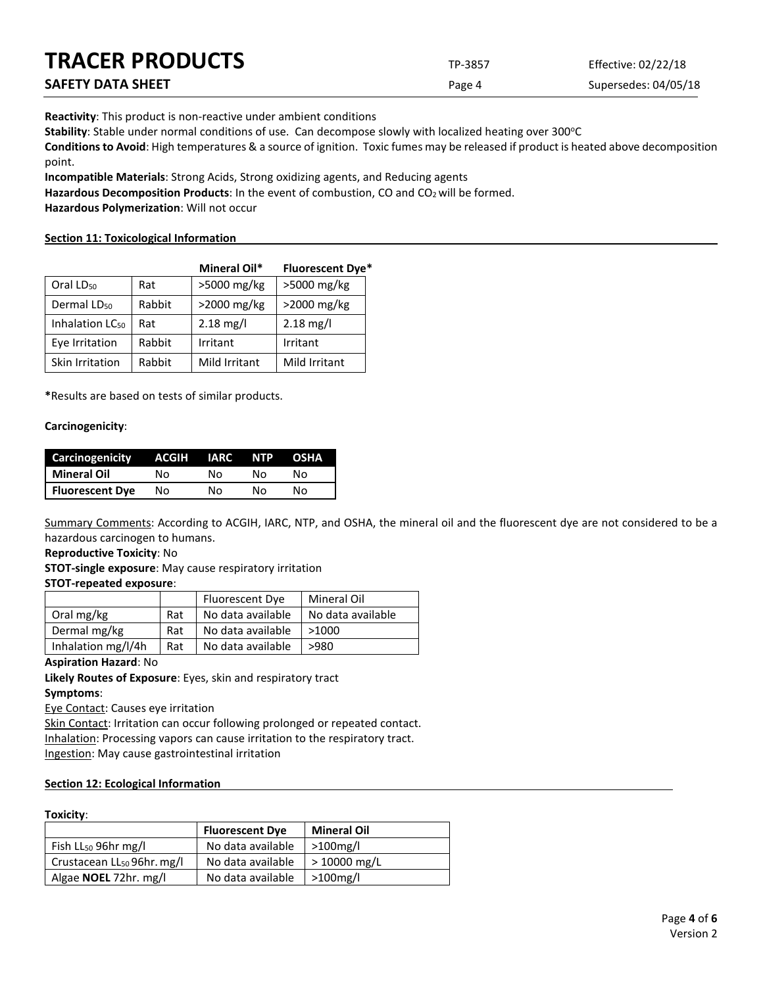| <b>TRACER PRODUCTS</b> | TP-3857 | Effective: 02/22/18  |
|------------------------|---------|----------------------|
| SAFETY DATA SHEET      | Page 4  | Supersedes: 04/05/18 |

**Reactivity**: This product is non-reactive under ambient conditions

Stability: Stable under normal conditions of use. Can decompose slowly with localized heating over 300°C

**Conditions to Avoid**: High temperatures & a source of ignition. Toxic fumes may be released if product is heated above decomposition point.

**Incompatible Materials**: Strong Acids, Strong oxidizing agents, and Reducing agents

Hazardous Decomposition Products: In the event of combustion, CO and CO<sub>2</sub> will be formed.

**Hazardous Polymerization**: Will not occur

#### **Section 11: Toxicological Information**

|                             |        | Mineral Oil*        | <b>Fluorescent Dye*</b> |
|-----------------------------|--------|---------------------|-------------------------|
| Oral LD <sub>50</sub>       | Rat    | $>5000$ mg/kg       | >5000 mg/kg             |
| Dermal LD <sub>50</sub>     | Rabbit | $>$ 2000 mg/kg      | >2000 mg/kg             |
| Inhalation LC <sub>50</sub> | Rat    | $2.18 \text{ mg/l}$ | $2.18 \text{ mg/l}$     |
| Eye Irritation              | Rabbit | Irritant            | Irritant                |
| Skin Irritation             | Rabbit | Mild Irritant       | Mild Irritant           |

**\***Results are based on tests of similar products.

#### **Carcinogenicity**:

| Carcinogenicity        | ACGIH | <b>IARC</b> | <b>NTP</b> | <b>OSHA</b> |
|------------------------|-------|-------------|------------|-------------|
| <b>Mineral Oil</b>     | N٥    | N٥          | N٥         | N٥          |
| <b>Fluorescent Dye</b> | N٥    | Nο          | N٥         | N٥          |

Summary Comments: According to ACGIH, IARC, NTP, and OSHA, the mineral oil and the fluorescent dye are not considered to be a hazardous carcinogen to humans.

**Reproductive Toxicity**: No

**STOT-single exposure**: May cause respiratory irritation

#### **STOT-repeated exposure**:

|                    |     | <b>Fluorescent Dye</b> | Mineral Oil       |
|--------------------|-----|------------------------|-------------------|
| Oral mg/kg         | Rat | No data available      | No data available |
| Dermal mg/kg       | Rat | No data available      | >1000             |
| Inhalation mg/l/4h | Rat | No data available      | >980              |

#### **Aspiration Hazard**: No

**Likely Routes of Exposure**: Eyes, skin and respiratory tract **Symptoms**:

Eye Contact: Causes eye irritation

Skin Contact: Irritation can occur following prolonged or repeated contact. Inhalation: Processing vapors can cause irritation to the respiratory tract. Ingestion: May cause gastrointestinal irritation

### **Section 12: Ecological Information**

#### **Toxicity**:

|                                        | <b>Fluorescent Dye</b> | <b>Mineral Oil</b> |
|----------------------------------------|------------------------|--------------------|
| Fish $LL_{50}$ 96hr mg/l               | No data available      | $>100$ mg/l        |
| Crustacean LL <sub>50</sub> 96hr. mg/l | No data available      | $>10000$ mg/L      |
| Algae <b>NOEL</b> 72hr. mg/l           | No data available      | $>100$ mg/l        |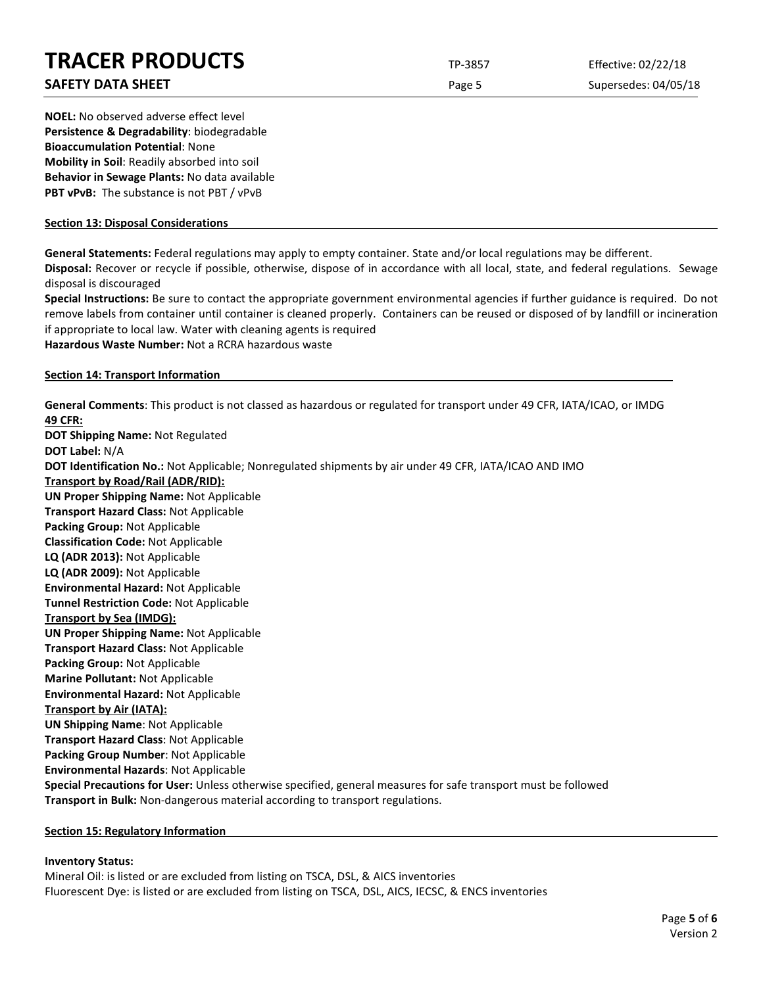### **SAFETY DATA SHEET** SUPERFOUR CONSUMING THE Page 5 Supersedes: 04/05/18

**NOEL:** No observed adverse effect level **Persistence & Degradability**: biodegradable **Bioaccumulation Potential**: None **Mobility in Soil**: Readily absorbed into soil **Behavior in Sewage Plants:** No data available **PBT vPvB:** The substance is not PBT / vPvB

#### **Section 13: Disposal Considerations**

**General Statements:** Federal regulations may apply to empty container. State and/or local regulations may be different.

**Disposal:** Recover or recycle if possible, otherwise, dispose of in accordance with all local, state, and federal regulations. Sewage disposal is discouraged

**Special Instructions:** Be sure to contact the appropriate government environmental agencies if further guidance is required. Do not remove labels from container until container is cleaned properly. Containers can be reused or disposed of by landfill or incineration if appropriate to local law. Water with cleaning agents is required

**Hazardous Waste Number:** Not a RCRA hazardous waste

#### **Section 14: Transport Information**

**General Comments**: This product is not classed as hazardous or regulated for transport under 49 CFR, IATA/ICAO, or IMDG **49 CFR:**

**DOT Shipping Name:** Not Regulated **DOT Label:** N/A **DOT Identification No.:** Not Applicable; Nonregulated shipments by air under 49 CFR, IATA/ICAO AND IMO **Transport by Road/Rail (ADR/RID): UN Proper Shipping Name:** Not Applicable **Transport Hazard Class:** Not Applicable **Packing Group:** Not Applicable **Classification Code:** Not Applicable **LQ (ADR 2013):** Not Applicable **LQ (ADR 2009):** Not Applicable **Environmental Hazard:** Not Applicable **Tunnel Restriction Code:** Not Applicable **Transport by Sea (IMDG): UN Proper Shipping Name:** Not Applicable **Transport Hazard Class:** Not Applicable **Packing Group:** Not Applicable **Marine Pollutant:** Not Applicable **Environmental Hazard:** Not Applicable **Transport by Air (IATA): UN Shipping Name**: Not Applicable **Transport Hazard Class**: Not Applicable **Packing Group Number**: Not Applicable **Environmental Hazards**: Not Applicable **Special Precautions for User:** Unless otherwise specified, general measures for safe transport must be followed **Transport in Bulk:** Non-dangerous material according to transport regulations.

#### **Section 15: Regulatory Information**

#### **Inventory Status:**

Mineral Oil: is listed or are excluded from listing on TSCA, DSL, & AICS inventories Fluorescent Dye: is listed or are excluded from listing on TSCA, DSL, AICS, IECSC, & ENCS inventories